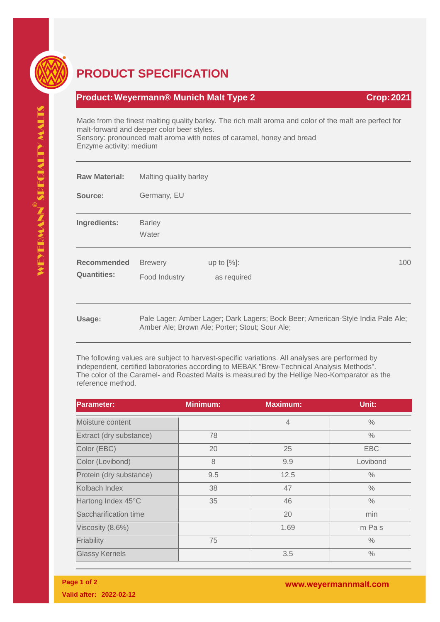

## **PRODUCT SPECIFICATION**

## **Product: Weyermann® Munich Malt Type 2 Crop: 2021**

Made from the finest malting quality barley. The rich malt aroma and color of the malt are perfect for malt-forward and deeper color beer styles. Sensory: pronounced malt aroma with notes of caramel, honey and bread Enzyme activity: medium

| <b>Raw Material:</b>              | Malting quality barley          |                                                                                                                                   |     |  |
|-----------------------------------|---------------------------------|-----------------------------------------------------------------------------------------------------------------------------------|-----|--|
| Source:                           | Germany, EU                     |                                                                                                                                   |     |  |
| Ingredients:                      | <b>Barley</b><br>Water          |                                                                                                                                   |     |  |
| Recommended<br><b>Quantities:</b> | <b>Brewery</b><br>Food Industry | up to $[%]$ :<br>as required                                                                                                      | 100 |  |
| Usage:                            |                                 | Pale Lager; Amber Lager; Dark Lagers; Bock Beer; American-Style India Pale Ale;<br>Amber Ale; Brown Ale; Porter; Stout; Sour Ale; |     |  |

The following values are subject to harvest-specific variations. All analyses are performed by independent, certified laboratories according to MEBAK "Brew-Technical Analysis Methods". The color of the Caramel- and Roasted Malts is measured by the Hellige Neo-Komparator as the reference method.

| <b>Parameter:</b>       | <b>Minimum:</b> | <b>Maximum:</b> | Unit:         |
|-------------------------|-----------------|-----------------|---------------|
| Moisture content        |                 | $\overline{4}$  | $\%$          |
| Extract (dry substance) | 78              |                 | $\frac{0}{0}$ |
| Color (EBC)             | 20              | 25              | <b>EBC</b>    |
| Color (Lovibond)        | 8               | 9.9             | Lovibond      |
| Protein (dry substance) | 9.5             | 12.5            | $\%$          |
| Kolbach Index           | 38              | 47              | $\%$          |
| Hartong Index 45°C      | 35              | 46              | $\frac{0}{0}$ |
| Saccharification time   |                 | 20              | min           |
| Viscosity (8.6%)        |                 | 1.69            | m Pas         |
| Friability              | 75              |                 | $\frac{0}{0}$ |
| <b>Glassy Kernels</b>   |                 | 3.5             | $\frac{0}{0}$ |